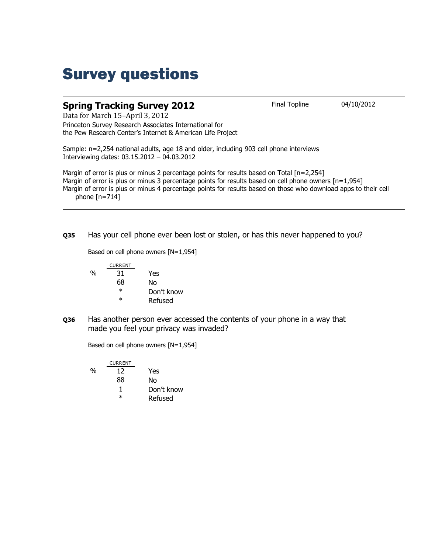## Survey questions

## **Spring Tracking Survey 2012** Final Topline 04/10/2012

Data for March 15–April 3, 2012 Princeton Survey Research Associates International for the Pew Research Center's Internet & American Life Project

Sample: n=2,254 national adults, age 18 and older, including 903 cell phone interviews Interviewing dates: 03.15.2012 – 04.03.2012

Margin of error is plus or minus 2 percentage points for results based on Total [n=2,254] Margin of error is plus or minus 3 percentage points for results based on cell phone owners [n=1,954] Margin of error is plus or minus 4 percentage points for results based on those who download apps to their cell phone  $[n=714]$ 

**Q35** Has your cell phone ever been lost or stolen, or has this never happened to you?

Based on cell phone owners [N=1,954]

|   | <b>CURRENT</b> |            |
|---|----------------|------------|
| % | 31             | Yes        |
|   | 68             | Nο         |
|   | $^\ast$        | Don't know |
|   | ж              | Refused    |

**Q36** Has another person ever accessed the contents of your phone in a way that made you feel your privacy was invaded?

Based on cell phone owners [N=1,954]

|   | <b>CURRENT</b> |            |
|---|----------------|------------|
| % | 12             | Yes        |
|   | 88             | No         |
|   | ı              | Don't know |
|   | $^\ast$        | Refused    |
|   |                |            |